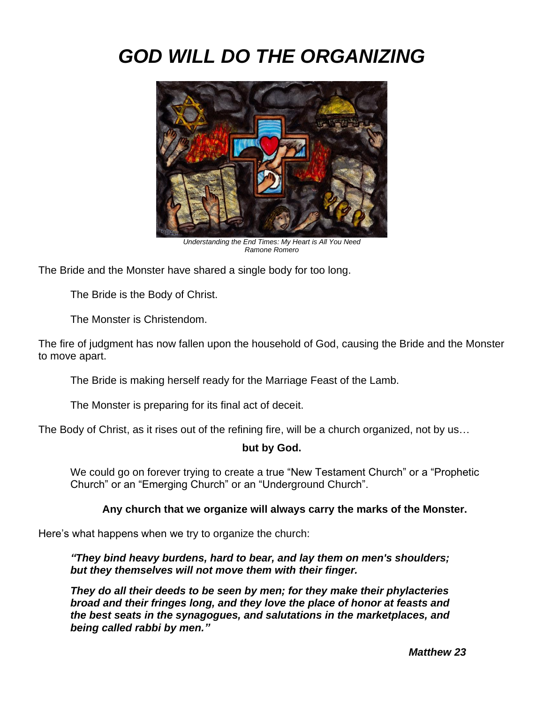# *GOD WILL DO THE ORGANIZING*



*Understanding the End Times: My Heart is All You Need Ramone Romero*

The Bride and the Monster have shared a single body for too long.

The Bride is the Body of Christ.

The Monster is Christendom.

The fire of judgment has now fallen upon the household of God, causing the Bride and the Monster to move apart.

The Bride is making herself ready for the Marriage Feast of the Lamb.

The Monster is preparing for its final act of deceit.

The Body of Christ, as it rises out of the refining fire, will be a church organized, not by us…

### **but by God.**

We could go on forever trying to create a true "New Testament Church" or a "Prophetic Church" or an "Emerging Church" or an "Underground Church".

## **Any church that we organize will always carry the marks of the Monster.**

Here's what happens when we try to organize the church:

*"They bind heavy burdens, hard to bear, and lay them on men's shoulders; but they themselves will not move them with their finger.* 

*They do all their deeds to be seen by men; for they make their phylacteries broad and their fringes long, and they love the place of honor at feasts and the best seats in the synagogues, and salutations in the marketplaces, and being called rabbi by men."*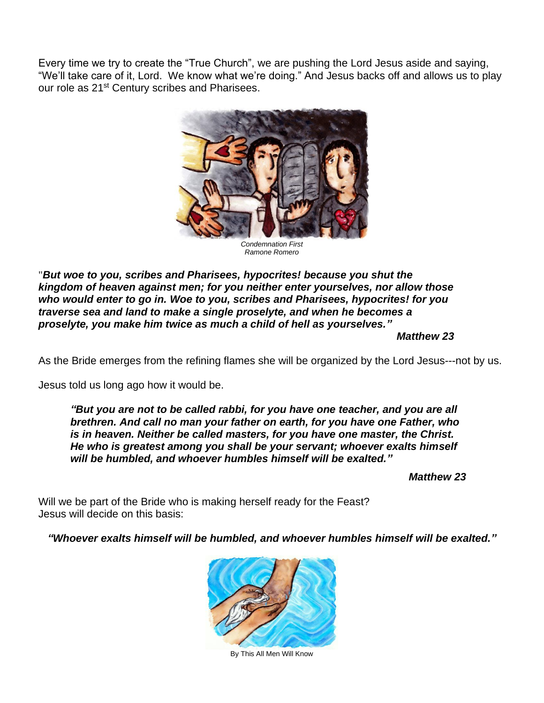Every time we try to create the "True Church", we are pushing the Lord Jesus aside and saying, "We'll take care of it, Lord. We know what we're doing." And Jesus backs off and allows us to play our role as 21<sup>st</sup> Century scribes and Pharisees.



*Condemnation First Ramone Romero*

"*But woe to you, scribes and Pharisees, hypocrites! because you shut the kingdom of heaven against men; for you neither enter yourselves, nor allow those who would enter to go in. Woe to you, scribes and Pharisees, hypocrites! for you traverse sea and land to make a single proselyte, and when he becomes a proselyte, you make him twice as much a child of hell as yourselves."*

*Matthew 23*

As the Bride emerges from the refining flames she will be organized by the Lord Jesus---not by us.

Jesus told us long ago how it would be.

*"But you are not to be called rabbi, for you have one teacher, and you are all brethren. And call no man your father on earth, for you have one Father, who is in heaven. Neither be called masters, for you have one master, the Christ. He who is greatest among you shall be your servant; whoever exalts himself will be humbled, and whoever humbles himself will be exalted."*

*Matthew 23*

Will we be part of the Bride who is making herself ready for the Feast? Jesus will decide on this basis:

*"Whoever exalts himself will be humbled, and whoever humbles himself will be exalted."*



By This All Men Will Know